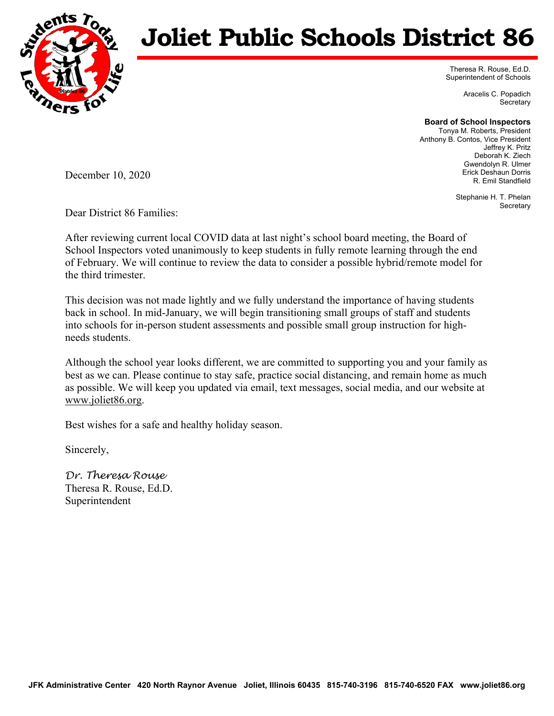

## **Joliet Public Schools District 86**

Theresa R. Rouse, Ed.D. Superintendent of Schools

> Aracelis C. Popadich **Secretary**

**Board of School Inspectors** 

Tonya M. Roberts, President Anthony B. Contos, Vice President Jeffrey K. Pritz Deborah K. Ziech Gwendolyn R. Ulmer Erick Deshaun Dorris R. Emil Standfield

> Stephanie H. T. Phelan **Secretary**

December 10, 2020

Dear District 86 Families:

After reviewing current local COVID data at last night's school board meeting, the Board of School Inspectors voted unanimously to keep students in fully remote learning through the end of February. We will continue to review the data to consider a possible hybrid/remote model for the third trimester.

This decision was not made lightly and we fully understand the importance of having students back in school. In mid-January, we will begin transitioning small groups of staff and students into schools for in-person student assessments and possible small group instruction for highneeds students.

Although the school year looks different, we are committed to supporting you and your family as best as we can. Please continue to stay safe, practice social distancing, and remain home as much as possible. We will keep you updated via email, text messages, social media, and our website at www.joliet86.org.

Best wishes for a safe and healthy holiday season.

Sincerely,

*Dr. Theresa Rouse*  Theresa R. Rouse, Ed.D. Superintendent